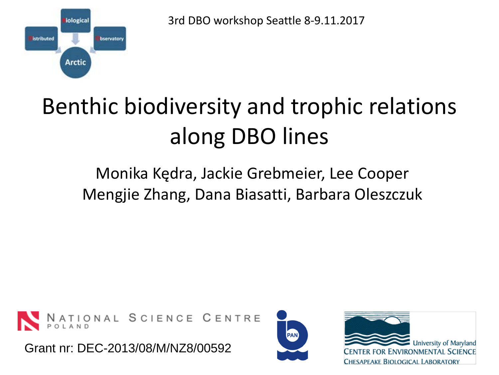iological istributed bservatory **Arctic** 

3rd DBO workshop Seattle 8-9.11.2017

## Benthic biodiversity and trophic relations along DBO lines

## Monika Kędra, Jackie Grebmeier, Lee Cooper Mengjie Zhang, Dana Biasatti, Barbara Oleszczuk



Grant nr: DEC-2013/08/M/NZ8/00592



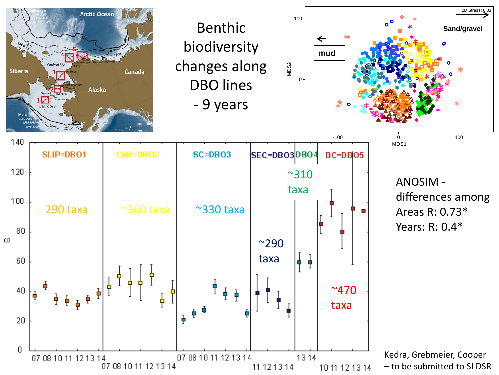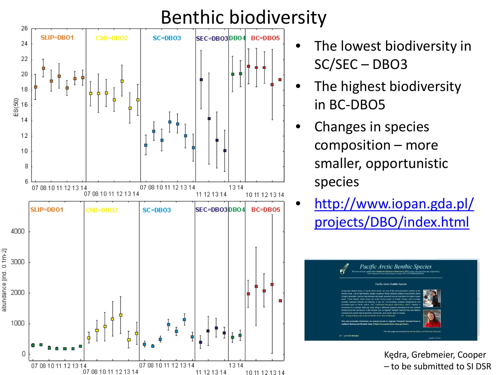## Benthic biodiversity



- The lowest biodiversity in SC/SEC – DBO3
- The highest biodiversity in BC-DBO5
- Changes in species composition – more smaller, opportunistic species
- [http://www.iopan.gda.pl/](http://www.iopan.gda.pl/projects/DBO/index.html) [projects/DBO/index.html](http://www.iopan.gda.pl/projects/DBO/index.html)



Kędra, Grebmeier, Cooper – to be submitted to SI DSR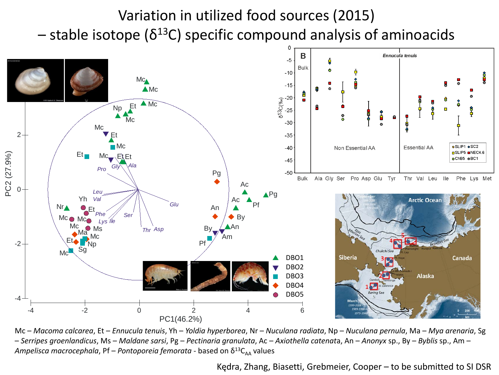## Variation in utilized food sources (2015)  $-$  stable isotope ( $\delta^{13}$ C) specific compound analysis of aminoacids



Mc – *Macoma calcarea*, Et – *Ennucula tenuis*, Yh – *Yoldia hyperborea*, Nr – *Nuculana radiata*, Np – *Nuculana pernula*, Ma – *Mya arenaria*, Sg – *Serripes groenlandicus*, Ms – *Maldane sarsi*, Pg – *Pectinaria granulata*, Ac – *Axiothella catenat*a, An – *Anonyx* sp., By – *Byblis* sp., Am – *Ampelisca macrocephala, Pf – Pontoporeia femorata* - based on  $\delta^{13}C_{AA}$  values

Kędra, Zhang, Biasetti, Grebmeier, Cooper – to be submitted to SI DSR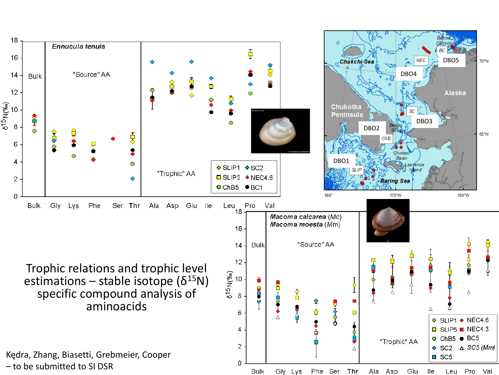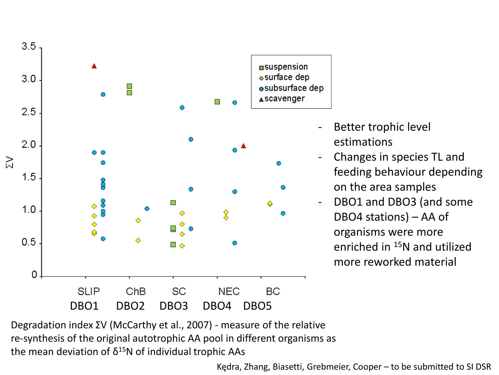

- Better trophic level estimations
- Changes in species TL and feeding behaviour depending on the area samples
- DBO1 and DBO3 (and some DBO4 stations) – AA of organisms were more enriched in 15N and utilized more reworked material

Degradation index ΣV (McCarthy et al., 2007) - measure of the relative re-synthesis of the original autotrophic AA pool in different organisms as the mean deviation of  $\delta^{15}N$  of individual trophic AAs

Kędra, Zhang, Biasetti, Grebmeier, Cooper – to be submitted to SI DSR